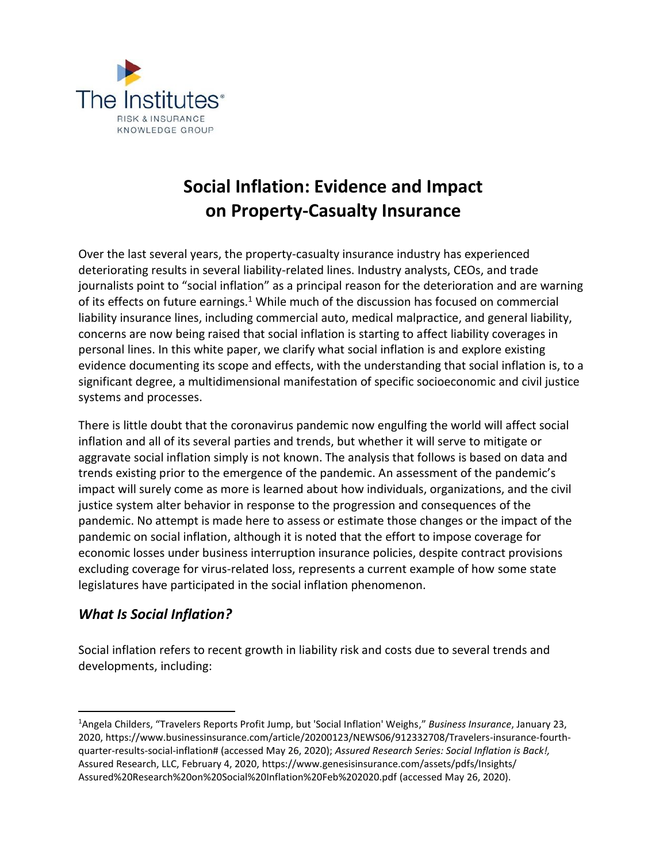

## **Social Inflation: Evidence and Impact on Property-Casualty Insurance**

Over the last several years, the property-casualty insurance industry has experienced deteriorating results in several liability-related lines. Industry analysts, CEOs, and trade journalists point to "social inflation" as a principal reason for the deterioration and are warning of its effects on future earnings.<sup>1</sup> While much of the discussion has focused on commercial liability insurance lines, including commercial auto, medical malpractice, and general liability, concerns are now being raised that social inflation is starting to affect liability coverages in personal lines. In this white paper, we clarify what social inflation is and explore existing evidence documenting its scope and effects, with the understanding that social inflation is, to a significant degree, a multidimensional manifestation of specific socioeconomic and civil justice systems and processes.

There is little doubt that the coronavirus pandemic now engulfing the world will affect social inflation and all of its several parties and trends, but whether it will serve to mitigate or aggravate social inflation simply is not known. The analysis that follows is based on data and trends existing prior to the emergence of the pandemic. An assessment of the pandemic's impact will surely come as more is learned about how individuals, organizations, and the civil justice system alter behavior in response to the progression and consequences of the pandemic. No attempt is made here to assess or estimate those changes or the impact of the pandemic on social inflation, although it is noted that the effort to impose coverage for economic losses under business interruption insurance policies, despite contract provisions excluding coverage for virus-related loss, represents a current example of how some state legislatures have participated in the social inflation phenomenon.

## *What Is Social Inflation?*

 $\overline{\phantom{a}}$ 

Social inflation refers to recent growth in liability risk and costs due to several trends and developments, including:

<sup>1</sup>Angela Childers, "Travelers Reports Profit Jump, but 'Social Inflation' Weighs," *Business Insurance*, January 23, 2020, https://www.businessinsurance.com/article/20200123/NEWS06/912332708/Travelers-insurance-fourthquarter-results-social-inflation# (accessed May 26, 2020); *Assured Research Series: Social Inflation is Back!,* Assured Research, LLC, February 4, 2020, https://www.genesisinsurance.com/assets/pdfs/Insights/ Assured%20Research%20on%20Social%20Inflation%20Feb%202020.pdf (accessed May 26, 2020).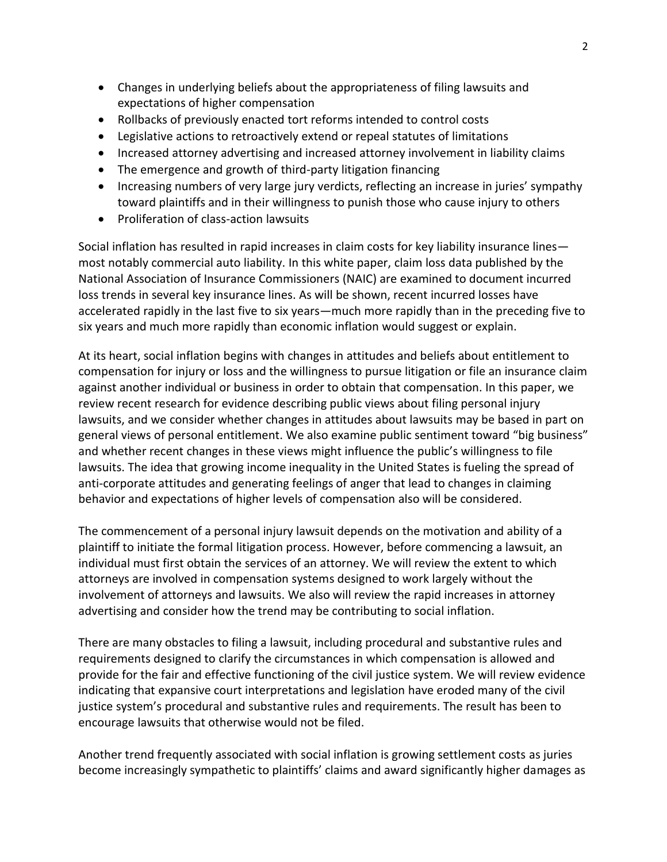- Changes in underlying beliefs about the appropriateness of filing lawsuits and expectations of higher compensation
- Rollbacks of previously enacted tort reforms intended to control costs
- Legislative actions to retroactively extend or repeal statutes of limitations
- Increased attorney advertising and increased attorney involvement in liability claims
- The emergence and growth of third-party litigation financing
- Increasing numbers of very large jury verdicts, reflecting an increase in juries' sympathy toward plaintiffs and in their willingness to punish those who cause injury to others
- Proliferation of class-action lawsuits

Social inflation has resulted in rapid increases in claim costs for key liability insurance lines most notably commercial auto liability. In this white paper, claim loss data published by the National Association of Insurance Commissioners (NAIC) are examined to document incurred loss trends in several key insurance lines. As will be shown, recent incurred losses have accelerated rapidly in the last five to six years—much more rapidly than in the preceding five to six years and much more rapidly than economic inflation would suggest or explain.

At its heart, social inflation begins with changes in attitudes and beliefs about entitlement to compensation for injury or loss and the willingness to pursue litigation or file an insurance claim against another individual or business in order to obtain that compensation. In this paper, we review recent research for evidence describing public views about filing personal injury lawsuits, and we consider whether changes in attitudes about lawsuits may be based in part on general views of personal entitlement. We also examine public sentiment toward "big business" and whether recent changes in these views might influence the public's willingness to file lawsuits. The idea that growing income inequality in the United States is fueling the spread of anti-corporate attitudes and generating feelings of anger that lead to changes in claiming behavior and expectations of higher levels of compensation also will be considered.

The commencement of a personal injury lawsuit depends on the motivation and ability of a plaintiff to initiate the formal litigation process. However, before commencing a lawsuit, an individual must first obtain the services of an attorney. We will review the extent to which attorneys are involved in compensation systems designed to work largely without the involvement of attorneys and lawsuits. We also will review the rapid increases in attorney advertising and consider how the trend may be contributing to social inflation.

There are many obstacles to filing a lawsuit, including procedural and substantive rules and requirements designed to clarify the circumstances in which compensation is allowed and provide for the fair and effective functioning of the civil justice system. We will review evidence indicating that expansive court interpretations and legislation have eroded many of the civil justice system's procedural and substantive rules and requirements. The result has been to encourage lawsuits that otherwise would not be filed.

Another trend frequently associated with social inflation is growing settlement costs as juries become increasingly sympathetic to plaintiffs' claims and award significantly higher damages as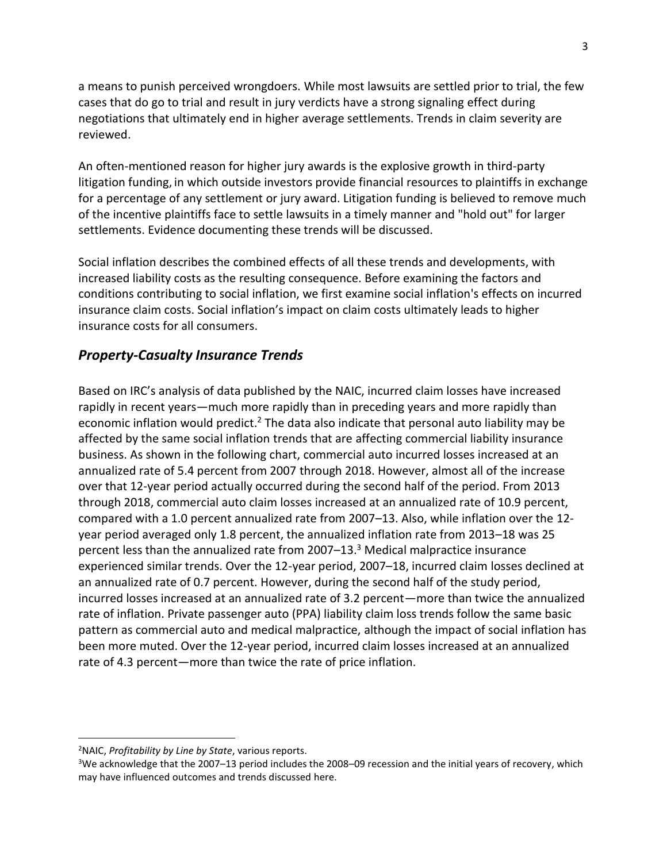a means to punish perceived wrongdoers. While most lawsuits are settled prior to trial, the few cases that do go to trial and result in jury verdicts have a strong signaling effect during negotiations that ultimately end in higher average settlements. Trends in claim severity are reviewed.

An often-mentioned reason for higher jury awards is the explosive growth in third-party litigation funding, in which outside investors provide financial resources to plaintiffs in exchange for a percentage of any settlement or jury award. Litigation funding is believed to remove much of the incentive plaintiffs face to settle lawsuits in a timely manner and "hold out" for larger settlements. Evidence documenting these trends will be discussed.

Social inflation describes the combined effects of all these trends and developments, with increased liability costs as the resulting consequence. Before examining the factors and conditions contributing to social inflation, we first examine social inflation's effects on incurred insurance claim costs. Social inflation's impact on claim costs ultimately leads to higher insurance costs for all consumers.

## *Property-Casualty Insurance Trends*

Based on IRC's analysis of data published by the NAIC, incurred claim losses have increased rapidly in recent years—much more rapidly than in preceding years and more rapidly than economic inflation would predict.<sup>2</sup> The data also indicate that personal auto liability may be affected by the same social inflation trends that are affecting commercial liability insurance business. As shown in the following chart, commercial auto incurred losses increased at an annualized rate of 5.4 percent from 2007 through 2018. However, almost all of the increase over that 12-year period actually occurred during the second half of the period. From 2013 through 2018, commercial auto claim losses increased at an annualized rate of 10.9 percent, compared with a 1.0 percent annualized rate from 2007–13. Also, while inflation over the 12 year period averaged only 1.8 percent, the annualized inflation rate from 2013–18 was 25 percent less than the annualized rate from 2007–13.<sup>3</sup> Medical malpractice insurance experienced similar trends. Over the 12-year period, 2007–18, incurred claim losses declined at an annualized rate of 0.7 percent. However, during the second half of the study period, incurred losses increased at an annualized rate of 3.2 percent—more than twice the annualized rate of inflation. Private passenger auto (PPA) liability claim loss trends follow the same basic pattern as commercial auto and medical malpractice, although the impact of social inflation has been more muted. Over the 12-year period, incurred claim losses increased at an annualized rate of 4.3 percent—more than twice the rate of price inflation.

 $\overline{a}$ 

<sup>2</sup>NAIC, *Profitability by Line by State*, various reports.

<sup>&</sup>lt;sup>3</sup>We acknowledge that the 2007–13 period includes the 2008–09 recession and the initial years of recovery, which may have influenced outcomes and trends discussed here.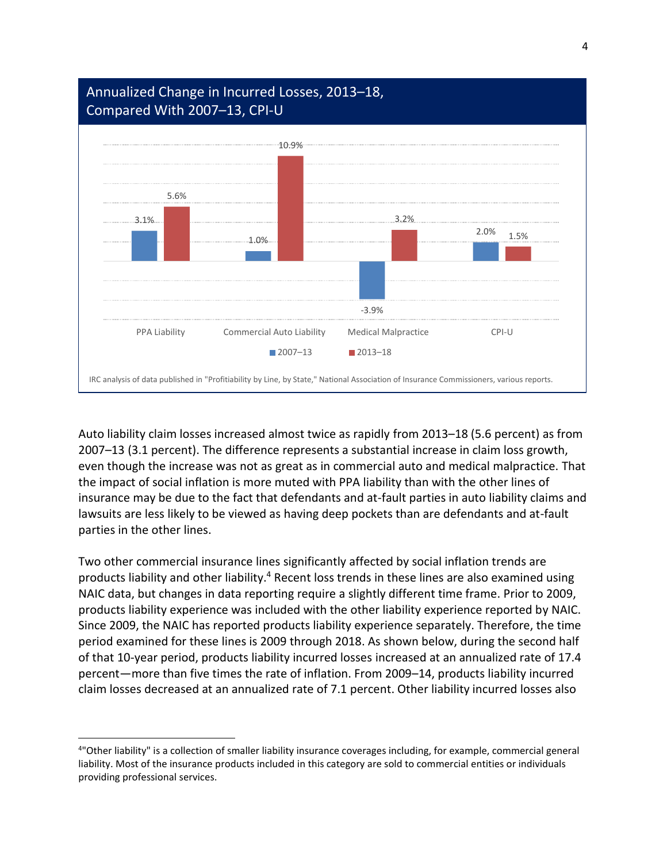

Auto liability claim losses increased almost twice as rapidly from 2013–18 (5.6 percent) as from 2007–13 (3.1 percent). The difference represents a substantial increase in claim loss growth, even though the increase was not as great as in commercial auto and medical malpractice. That the impact of social inflation is more muted with PPA liability than with the other lines of insurance may be due to the fact that defendants and at-fault parties in auto liability claims and lawsuits are less likely to be viewed as having deep pockets than are defendants and at-fault parties in the other lines.

Two other commercial insurance lines significantly affected by social inflation trends are products liability and other liability.<sup>4</sup> Recent loss trends in these lines are also examined using NAIC data, but changes in data reporting require a slightly different time frame. Prior to 2009, products liability experience was included with the other liability experience reported by NAIC. Since 2009, the NAIC has reported products liability experience separately. Therefore, the time period examined for these lines is 2009 through 2018. As shown below, during the second half of that 10-year period, products liability incurred losses increased at an annualized rate of 17.4 percent—more than five times the rate of inflation. From 2009–14, products liability incurred claim losses decreased at an annualized rate of 7.1 percent. Other liability incurred losses also

 $\overline{a}$ 

<sup>4</sup> "Other liability" is a collection of smaller liability insurance coverages including, for example, commercial general liability. Most of the insurance products included in this category are sold to commercial entities or individuals providing professional services.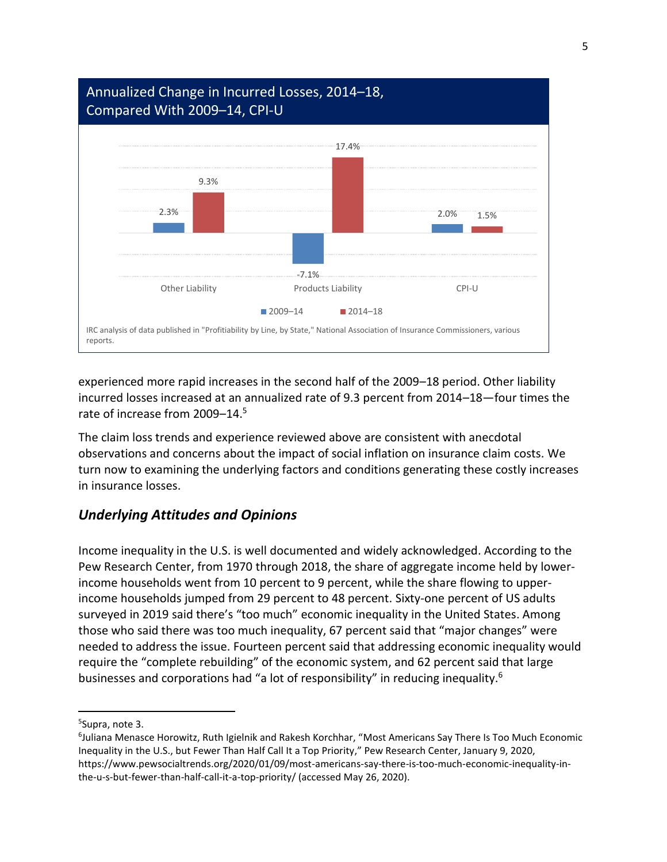

experienced more rapid increases in the second half of the 2009–18 period. Other liability incurred losses increased at an annualized rate of 9.3 percent from 2014–18—four times the rate of increase from 2009–14.<sup>5</sup>

The claim loss trends and experience reviewed above are consistent with anecdotal observations and concerns about the impact of social inflation on insurance claim costs. We turn now to examining the underlying factors and conditions generating these costly increases in insurance losses.

## *Underlying Attitudes and Opinions*

Income inequality in the U.S. is well documented and widely acknowledged. According to the Pew Research Center, from 1970 through 2018, the share of aggregate income held by lowerincome households went from 10 percent to 9 percent, while the share flowing to upperincome households jumped from 29 percent to 48 percent. Sixty-one percent of US adults surveyed in 2019 said there's "too much" economic inequality in the United States. Among those who said there was too much inequality, 67 percent said that "major changes" were needed to address the issue. Fourteen percent said that addressing economic inequality would require the "complete rebuilding" of the economic system, and 62 percent said that large businesses and corporations had "a lot of responsibility" in reducing inequality.<sup>6</sup>

<sup>5</sup> Supra, note 3.

<sup>&</sup>lt;sup>6</sup>Juliana Menasce Horowitz, Ruth Igielnik and Rakesh Korchhar, "Most Americans Say There Is Too Much Economic Inequality in the U.S., but Fewer Than Half Call It a Top Priority," Pew Research Center, January 9, 2020, https://www.pewsocialtrends.org/2020/01/09/most-americans-say-there-is-too-much-economic-inequality-inthe-u-s-but-fewer-than-half-call-it-a-top-priority/ (accessed May 26, 2020).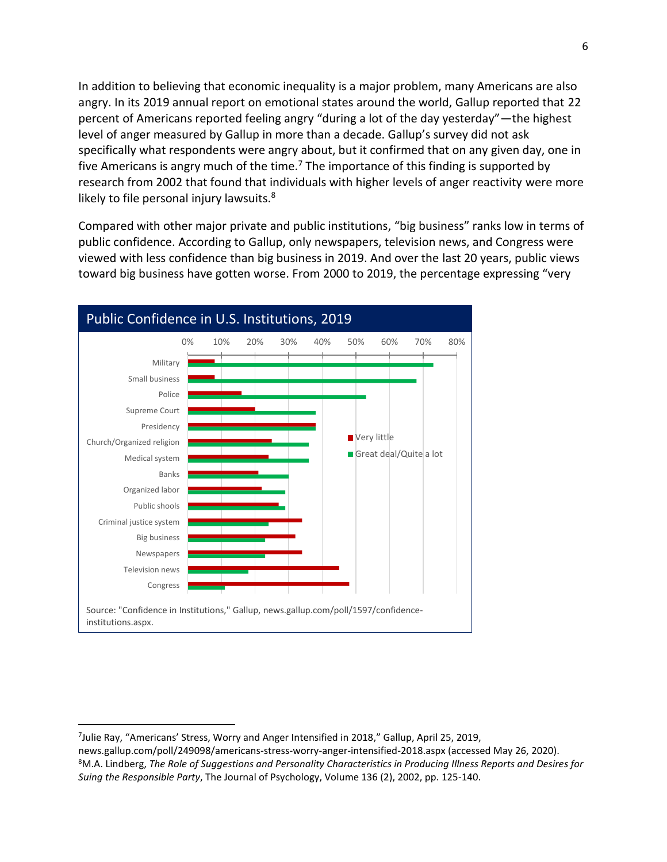In addition to believing that economic inequality is a major problem, many Americans are also angry. In its 2019 annual report on emotional states around the world, Gallup reported that 22 percent of Americans reported feeling angry "during a lot of the day yesterday"—the highest level of anger measured by Gallup in more than a decade. Gallup's survey did not ask specifically what respondents were angry about, but it confirmed that on any given day, one in five Americans is angry much of the time.<sup>7</sup> The importance of this finding is supported by research from 2002 that found that individuals with higher levels of anger reactivity were more likely to file personal injury lawsuits. $8<sup>8</sup>$ 

Compared with other major private and public institutions, "big business" ranks low in terms of public confidence. According to Gallup, only newspapers, television news, and Congress were viewed with less confidence than big business in 2019. And over the last 20 years, public views toward big business have gotten worse. From 2000 to 2019, the percentage expressing "very



<sup>7</sup> Julie Ray, "Americans' Stress, Worry and Anger Intensified in 2018," Gallup, April 25, 2019,

news.gallup.com/poll/249098/americans-stress-worry-anger-intensified-2018.aspx (accessed May 26, 2020). <sup>8</sup>M.A. Lindberg, *The Role of Suggestions and Personality Characteristics in Producing Illness Reports and Desires for Suing the Responsible Party*, The Journal of Psychology, Volume 136 (2), 2002, pp. 125-140.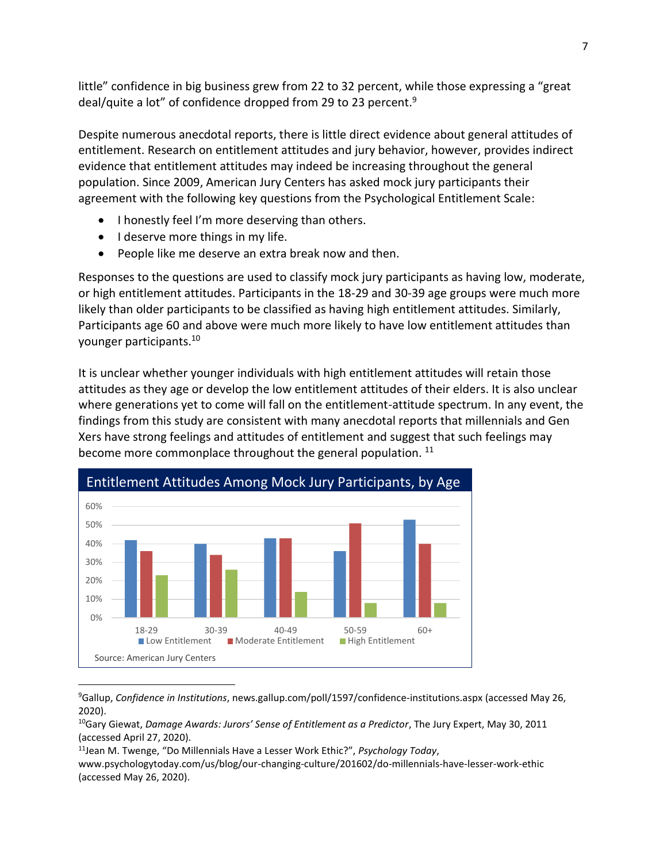little" confidence in big business grew from 22 to 32 percent, while those expressing a "great deal/quite a lot" of confidence dropped from 29 to 23 percent.<sup>9</sup>

Despite numerous anecdotal reports, there is little direct evidence about general attitudes of entitlement. Research on entitlement attitudes and jury behavior, however, provides indirect evidence that entitlement attitudes may indeed be increasing throughout the general population. Since 2009, American Jury Centers has asked mock jury participants their agreement with the following key questions from the Psychological Entitlement Scale:

- I honestly feel I'm more deserving than others.
- I deserve more things in my life.
- People like me deserve an extra break now and then.

Responses to the questions are used to classify mock jury participants as having low, moderate, or high entitlement attitudes. Participants in the 18-29 and 30-39 age groups were much more likely than older participants to be classified as having high entitlement attitudes. Similarly, Participants age 60 and above were much more likely to have low entitlement attitudes than younger participants.<sup>10</sup>

It is unclear whether younger individuals with high entitlement attitudes will retain those attitudes as they age or develop the low entitlement attitudes of their elders. It is also unclear where generations yet to come will fall on the entitlement-attitude spectrum. In any event, the findings from this study are consistent with many anecdotal reports that millennials and Gen Xers have strong feelings and attitudes of entitlement and suggest that such feelings may become more commonplace throughout the general population. <sup>11</sup>



<sup>9</sup>Gallup, *Confidence in Institutions*, news.gallup.com/poll/1597/confidence-institutions.aspx (accessed May 26, 2020).

<sup>10</sup>Gary Giewat, *Damage Awards: Jurors' Sense of Entitlement as a Predictor*, The Jury Expert, May 30, 2011 (accessed April 27, 2020).

<sup>11</sup>Jean M. Twenge, "Do Millennials Have a Lesser Work Ethic?", *Psychology Today*,

 $\overline{\phantom{a}}$ 

www.psychologytoday.com/us/blog/our-changing-culture/201602/do-millennials-have-lesser-work-ethic (accessed May 26, 2020).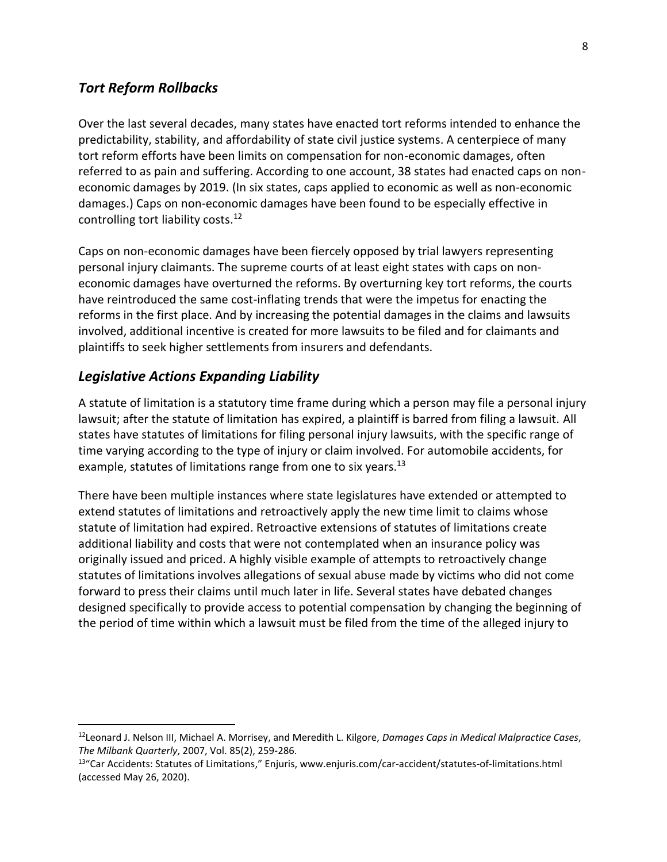## *Tort Reform Rollbacks*

Over the last several decades, many states have enacted tort reforms intended to enhance the predictability, stability, and affordability of state civil justice systems. A centerpiece of many tort reform efforts have been limits on compensation for non-economic damages, often referred to as pain and suffering. According to one account, 38 states had enacted caps on noneconomic damages by 2019. (In six states, caps applied to economic as well as non-economic damages.) Caps on non-economic damages have been found to be especially effective in controlling tort liability costs. $12$ 

Caps on non-economic damages have been fiercely opposed by trial lawyers representing personal injury claimants. The supreme courts of at least eight states with caps on noneconomic damages have overturned the reforms. By overturning key tort reforms, the courts have reintroduced the same cost-inflating trends that were the impetus for enacting the reforms in the first place. And by increasing the potential damages in the claims and lawsuits involved, additional incentive is created for more lawsuits to be filed and for claimants and plaintiffs to seek higher settlements from insurers and defendants.

## *Legislative Actions Expanding Liability*

 $\overline{\phantom{a}}$ 

A statute of limitation is a statutory time frame during which a person may file a personal injury lawsuit; after the statute of limitation has expired, a plaintiff is barred from filing a lawsuit. All states have statutes of limitations for filing personal injury lawsuits, with the specific range of time varying according to the type of injury or claim involved. For automobile accidents, for example, statutes of limitations range from one to six years.<sup>13</sup>

There have been multiple instances where state legislatures have extended or attempted to extend statutes of limitations and retroactively apply the new time limit to claims whose statute of limitation had expired. Retroactive extensions of statutes of limitations create additional liability and costs that were not contemplated when an insurance policy was originally issued and priced. A highly visible example of attempts to retroactively change statutes of limitations involves allegations of sexual abuse made by victims who did not come forward to press their claims until much later in life. Several states have debated changes designed specifically to provide access to potential compensation by changing the beginning of the period of time within which a lawsuit must be filed from the time of the alleged injury to

<sup>12</sup>Leonard J. Nelson III, Michael A. Morrisey, and Meredith L. Kilgore, *Damages Caps in Medical Malpractice Cases*, *The Milbank Quarterly*, 2007, Vol. 85(2), 259-286.

<sup>&</sup>lt;sup>13</sup>"Car Accidents: Statutes of Limitations," Enjuris, www.enjuris.com/car-accident/statutes-of-limitations.html (accessed May 26, 2020).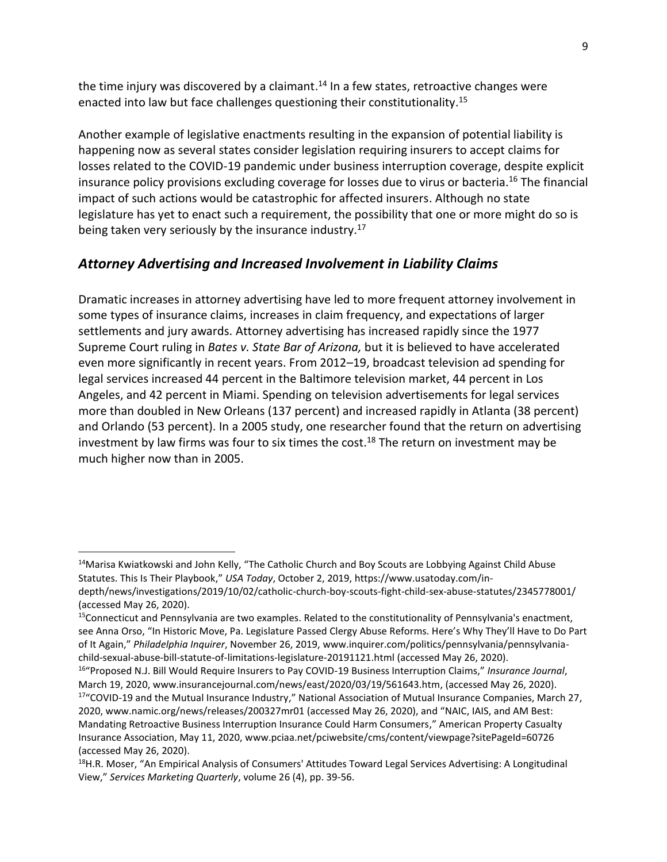the time injury was discovered by a claimant.<sup>14</sup> In a few states, retroactive changes were enacted into law but face challenges questioning their constitutionality. 15

Another example of legislative enactments resulting in the expansion of potential liability is happening now as several states consider legislation requiring insurers to accept claims for losses related to the COVID-19 pandemic under business interruption coverage, despite explicit insurance policy provisions excluding coverage for losses due to virus or bacteria.<sup>16</sup> The financial impact of such actions would be catastrophic for affected insurers. Although no state legislature has yet to enact such a requirement, the possibility that one or more might do so is being taken very seriously by the insurance industry.<sup>17</sup>

## *Attorney Advertising and Increased Involvement in Liability Claims*

Dramatic increases in attorney advertising have led to more frequent attorney involvement in some types of insurance claims, increases in claim frequency, and expectations of larger settlements and jury awards. Attorney advertising has increased rapidly since the 1977 Supreme Court ruling in *Bates v. State Bar of Arizona,* but it is believed to have accelerated even more significantly in recent years. From 2012–19, broadcast television ad spending for legal services increased 44 percent in the Baltimore television market, 44 percent in Los Angeles, and 42 percent in Miami. Spending on television advertisements for legal services more than doubled in New Orleans (137 percent) and increased rapidly in Atlanta (38 percent) and Orlando (53 percent). In a 2005 study, one researcher found that the return on advertising investment by law firms was four to six times the cost.<sup>18</sup> The return on investment may be much higher now than in 2005.

l

 $14$ Marisa Kwiatkowski and John Kelly, "The Catholic Church and Boy Scouts are Lobbying Against Child Abuse Statutes. This Is Their Playbook," *USA Today*, October 2, 2019, https://www.usatoday.com/indepth/news/investigations/2019/10/02/catholic-church-boy-scouts-fight-child-sex-abuse-statutes/2345778001/ (accessed May 26, 2020).

<sup>&</sup>lt;sup>15</sup>Connecticut and Pennsylvania are two examples. Related to the constitutionality of Pennsylvania's enactment, see Anna Orso, "In Historic Move, Pa. Legislature Passed Clergy Abuse Reforms. Here's Why They'll Have to Do Part of It Again," *Philadelphia Inquirer*, November 26, 2019, www.inquirer.com/politics/pennsylvania/pennsylvaniachild-sexual-abuse-bill-statute-of-limitations-legislature-20191121.html (accessed May 26, 2020).

<sup>16</sup> "Proposed N.J. Bill Would Require Insurers to Pay COVID-19 Business Interruption Claims," *Insurance Journal*, March 19, 2020, www.insurancejournal.com/news/east/2020/03/19/561643.htm, (accessed May 26, 2020).

<sup>&</sup>lt;sup>17</sup> "COVID-19 and the Mutual Insurance Industry," National Association of Mutual Insurance Companies, March 27, 2020, www.namic.org/news/releases/200327mr01 (accessed May 26, 2020), and "NAIC, IAIS, and AM Best: Mandating Retroactive Business Interruption Insurance Could Harm Consumers," American Property Casualty Insurance Association, May 11, 2020, www.pciaa.net/pciwebsite/cms/content/viewpage?sitePageId=60726 (accessed May 26, 2020).

<sup>&</sup>lt;sup>18</sup>H.R. Moser, "An Empirical Analysis of Consumers' Attitudes Toward Legal Services Advertising: A Longitudinal View," *Services Marketing Quarterly*, volume 26 (4), pp. 39-56.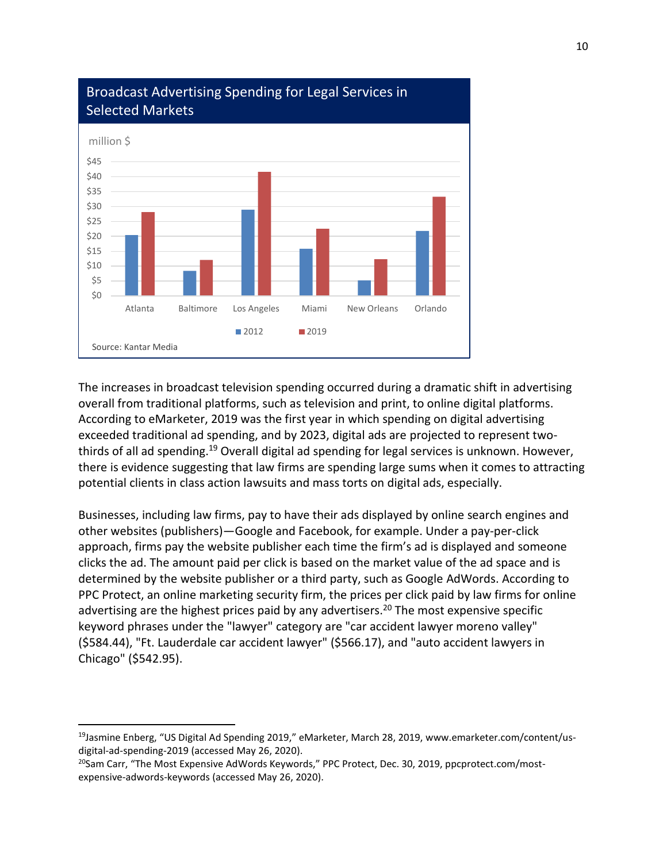

## Broadcast Advertising Spending for Legal Services in

The increases in broadcast television spending occurred during a dramatic shift in advertising overall from traditional platforms, such as television and print, to online digital platforms. According to eMarketer, 2019 was the first year in which spending on digital advertising exceeded traditional ad spending, and by 2023, digital ads are projected to represent twothirds of all ad spending.<sup>19</sup> Overall digital ad spending for legal services is unknown. However, there is evidence suggesting that law firms are spending large sums when it comes to attracting potential clients in class action lawsuits and mass torts on digital ads, especially.

Businesses, including law firms, pay to have their ads displayed by online search engines and other websites (publishers)—Google and Facebook, for example. Under a pay-per-click approach, firms pay the website publisher each time the firm's ad is displayed and someone clicks the ad. The amount paid per click is based on the market value of the ad space and is determined by the website publisher or a third party, such as Google AdWords. According to PPC Protect, an online marketing security firm, the prices per click paid by law firms for online advertising are the highest prices paid by any advertisers.<sup>20</sup> The most expensive specific keyword phrases under the "lawyer" category are "car accident lawyer moreno valley" (\$584.44), "Ft. Lauderdale car accident lawyer" (\$566.17), and "auto accident lawyers in Chicago" (\$542.95).

 $19$ Jasmine Enberg, "US Digital Ad Spending 2019," eMarketer, March 28, 2019, www.emarketer.com/content/usdigital-ad-spending-2019 (accessed May 26, 2020).

 $^{20}$ Sam Carr, "The Most Expensive AdWords Keywords," PPC Protect, Dec. 30, 2019, ppcprotect.com/mostexpensive-adwords-keywords (accessed May 26, 2020).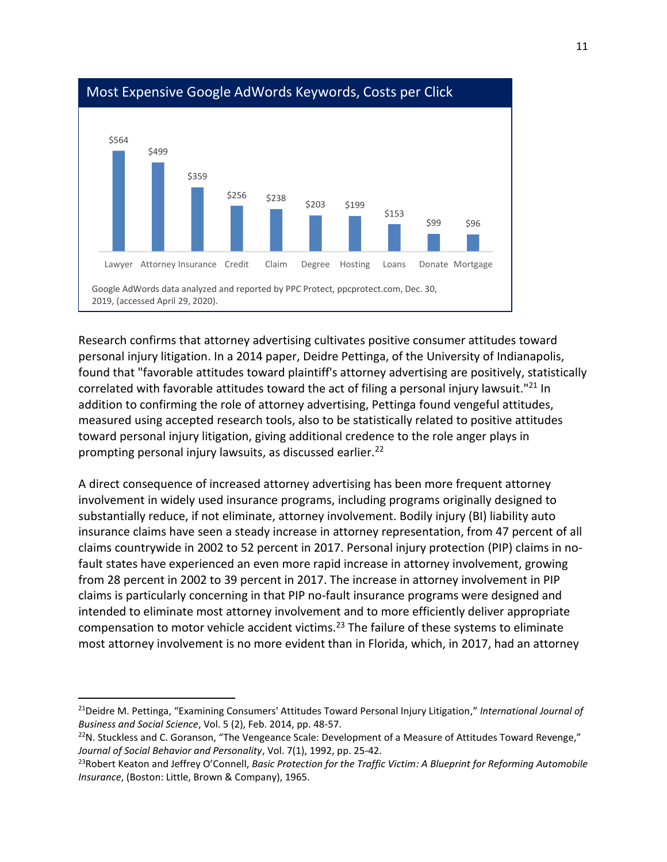

## Most Expensive Google AdWords Keywords, Costs per Click

Research confirms that attorney advertising cultivates positive consumer attitudes toward personal injury litigation. In a 2014 paper, Deidre Pettinga, of the University of Indianapolis, found that "favorable attitudes toward plaintiff's attorney advertising are positively, statistically correlated with favorable attitudes toward the act of filing a personal injury lawsuit."<sup>21</sup> In addition to confirming the role of attorney advertising, Pettinga found vengeful attitudes, measured using accepted research tools, also to be statistically related to positive attitudes toward personal injury litigation, giving additional credence to the role anger plays in prompting personal injury lawsuits, as discussed earlier.<sup>22</sup>

A direct consequence of increased attorney advertising has been more frequent attorney involvement in widely used insurance programs, including programs originally designed to substantially reduce, if not eliminate, attorney involvement. Bodily injury (BI) liability auto insurance claims have seen a steady increase in attorney representation, from 47 percent of all claims countrywide in 2002 to 52 percent in 2017. Personal injury protection (PIP) claims in nofault states have experienced an even more rapid increase in attorney involvement, growing from 28 percent in 2002 to 39 percent in 2017. The increase in attorney involvement in PIP claims is particularly concerning in that PIP no-fault insurance programs were designed and intended to eliminate most attorney involvement and to more efficiently deliver appropriate compensation to motor vehicle accident victims.<sup>23</sup> The failure of these systems to eliminate most attorney involvement is no more evident than in Florida, which, in 2017, had an attorney

l

<sup>21</sup>Deidre M. Pettinga, "Examining Consumers' Attitudes Toward Personal Injury Litigation," *International Journal of Business and Social Science*, Vol. 5 (2), Feb. 2014, pp. 48-57.

 $22$ N. Stuckless and C. Goranson, "The Vengeance Scale: Development of a Measure of Attitudes Toward Revenge," *Journal of Social Behavior and Personality*, Vol. 7(1), 1992, pp. 25-42.

<sup>23</sup>Robert Keaton and Jeffrey O'Connell, *Basic Protection for the Traffic Victim: A Blueprint for Reforming Automobile Insurance*, (Boston: Little, Brown & Company), 1965.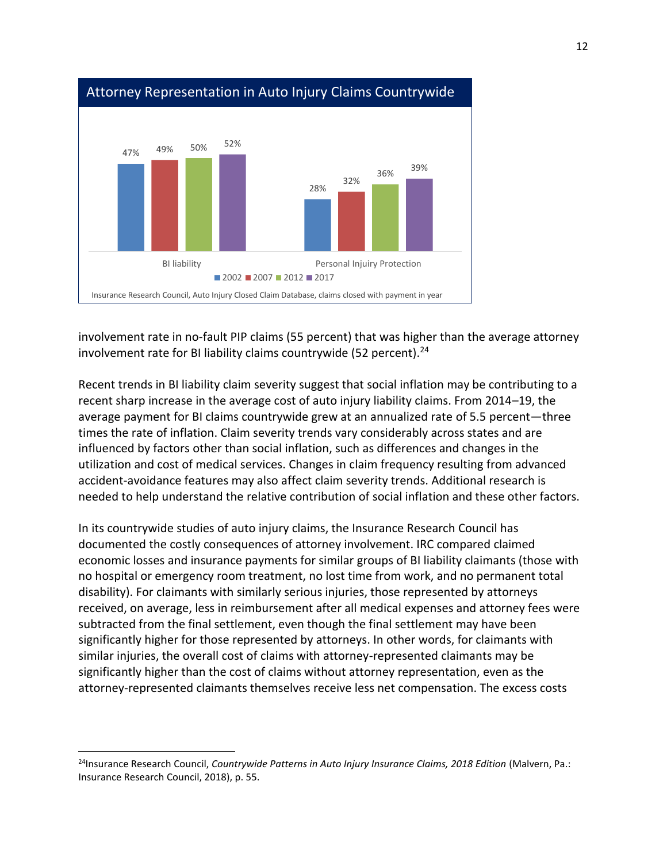

involvement rate in no-fault PIP claims (55 percent) that was higher than the average attorney involvement rate for BI liability claims countrywide (52 percent). $24$ 

Recent trends in BI liability claim severity suggest that social inflation may be contributing to a recent sharp increase in the average cost of auto injury liability claims. From 2014–19, the average payment for BI claims countrywide grew at an annualized rate of 5.5 percent—three times the rate of inflation. Claim severity trends vary considerably across states and are influenced by factors other than social inflation, such as differences and changes in the utilization and cost of medical services. Changes in claim frequency resulting from advanced accident-avoidance features may also affect claim severity trends. Additional research is needed to help understand the relative contribution of social inflation and these other factors.

In its countrywide studies of auto injury claims, the Insurance Research Council has documented the costly consequences of attorney involvement. IRC compared claimed economic losses and insurance payments for similar groups of BI liability claimants (those with no hospital or emergency room treatment, no lost time from work, and no permanent total disability). For claimants with similarly serious injuries, those represented by attorneys received, on average, less in reimbursement after all medical expenses and attorney fees were subtracted from the final settlement, even though the final settlement may have been significantly higher for those represented by attorneys. In other words, for claimants with similar injuries, the overall cost of claims with attorney-represented claimants may be significantly higher than the cost of claims without attorney representation, even as the attorney-represented claimants themselves receive less net compensation. The excess costs

<sup>24</sup>Insurance Research Council, *Countrywide Patterns in Auto Injury Insurance Claims, 2018 Edition* (Malvern, Pa.: Insurance Research Council, 2018), p. 55.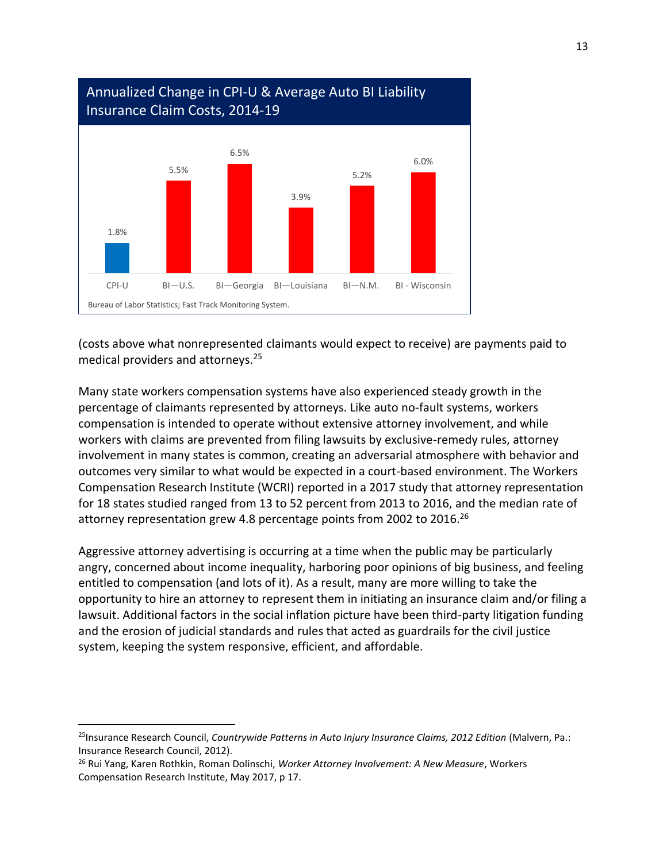

# Annualized Change in CPI-U & Average Auto BI Liability

(costs above what nonrepresented claimants would expect to receive) are payments paid to medical providers and attorneys.<sup>25</sup>

Many state workers compensation systems have also experienced steady growth in the percentage of claimants represented by attorneys. Like auto no-fault systems, workers compensation is intended to operate without extensive attorney involvement, and while workers with claims are prevented from filing lawsuits by exclusive-remedy rules, attorney involvement in many states is common, creating an adversarial atmosphere with behavior and outcomes very similar to what would be expected in a court-based environment. The Workers Compensation Research Institute (WCRI) reported in a 2017 study that attorney representation for 18 states studied ranged from 13 to 52 percent from 2013 to 2016, and the median rate of attorney representation grew 4.8 percentage points from 2002 to 2016.<sup>26</sup>

Aggressive attorney advertising is occurring at a time when the public may be particularly angry, concerned about income inequality, harboring poor opinions of big business, and feeling entitled to compensation (and lots of it). As a result, many are more willing to take the opportunity to hire an attorney to represent them in initiating an insurance claim and/or filing a lawsuit. Additional factors in the social inflation picture have been third-party litigation funding and the erosion of judicial standards and rules that acted as guardrails for the civil justice system, keeping the system responsive, efficient, and affordable.

<sup>25</sup>Insurance Research Council, *Countrywide Patterns in Auto Injury Insurance Claims, 2012 Edition* (Malvern, Pa.: Insurance Research Council, 2012).

<sup>26</sup> Rui Yang, Karen Rothkin, Roman Dolinschi, *Worker Attorney Involvement: A New Measure*, Workers Compensation Research Institute, May 2017, p 17.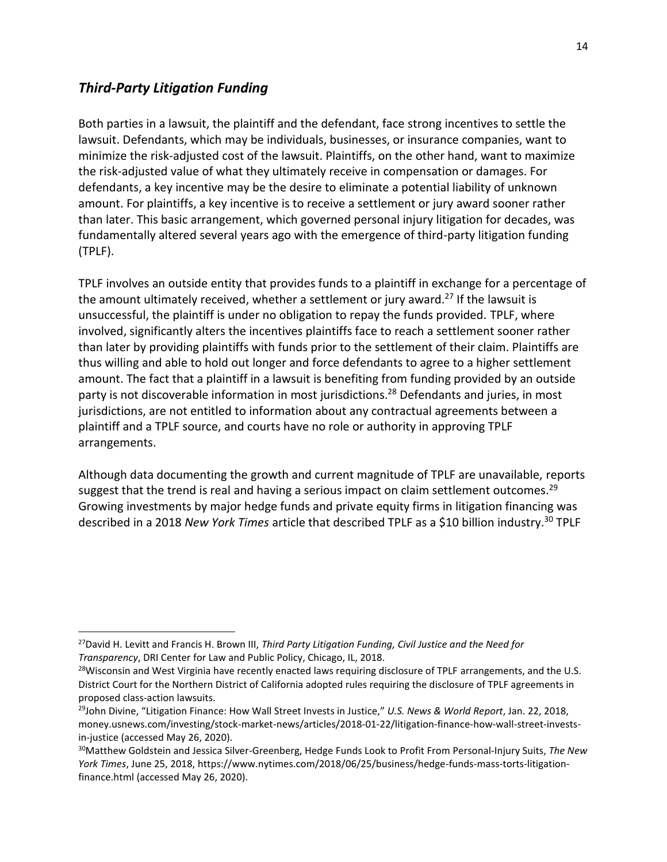## *Third-Party Litigation Funding*

 $\overline{\phantom{a}}$ 

Both parties in a lawsuit, the plaintiff and the defendant, face strong incentives to settle the lawsuit. Defendants, which may be individuals, businesses, or insurance companies, want to minimize the risk-adjusted cost of the lawsuit. Plaintiffs, on the other hand, want to maximize the risk-adjusted value of what they ultimately receive in compensation or damages. For defendants, a key incentive may be the desire to eliminate a potential liability of unknown amount. For plaintiffs, a key incentive is to receive a settlement or jury award sooner rather than later. This basic arrangement, which governed personal injury litigation for decades, was fundamentally altered several years ago with the emergence of third-party litigation funding (TPLF).

TPLF involves an outside entity that provides funds to a plaintiff in exchange for a percentage of the amount ultimately received, whether a settlement or jury award.<sup>27</sup> If the lawsuit is unsuccessful, the plaintiff is under no obligation to repay the funds provided. TPLF, where involved, significantly alters the incentives plaintiffs face to reach a settlement sooner rather than later by providing plaintiffs with funds prior to the settlement of their claim. Plaintiffs are thus willing and able to hold out longer and force defendants to agree to a higher settlement amount. The fact that a plaintiff in a lawsuit is benefiting from funding provided by an outside party is not discoverable information in most jurisdictions. <sup>28</sup> Defendants and juries, in most jurisdictions, are not entitled to information about any contractual agreements between a plaintiff and a TPLF source, and courts have no role or authority in approving TPLF arrangements.

Although data documenting the growth and current magnitude of TPLF are unavailable, reports suggest that the trend is real and having a serious impact on claim settlement outcomes.<sup>29</sup> Growing investments by major hedge funds and private equity firms in litigation financing was described in a 2018 *New York Times* article that described TPLF as a \$10 billion industry.<sup>30</sup> TPLF

<sup>27</sup>David H. Levitt and Francis H. Brown III, *Third Party Litigation Funding, Civil Justice and the Need for Transparency*, DRI Center for Law and Public Policy, Chicago, IL, 2018.

<sup>&</sup>lt;sup>28</sup>Wisconsin and West Virginia have recently enacted laws requiring disclosure of TPLF arrangements, and the U.S. District Court for the Northern District of California adopted rules requiring the disclosure of TPLF agreements in proposed class-action lawsuits.

<sup>29</sup>John Divine, "Litigation Finance: How Wall Street Invests in Justice," *U.S. News & World Report*, Jan. 22, 2018, money.usnews.com/investing/stock-market-news/articles/2018-01-22/litigation-finance-how-wall-street-investsin-justice (accessed May 26, 2020).

<sup>30</sup>Matthew Goldstein and Jessica Silver-Greenberg, Hedge Funds Look to Profit From Personal-Injury Suits, *The New York Times*, June 25, 2018, https://www.nytimes.com/2018/06/25/business/hedge-funds-mass-torts-litigationfinance.html (accessed May 26, 2020).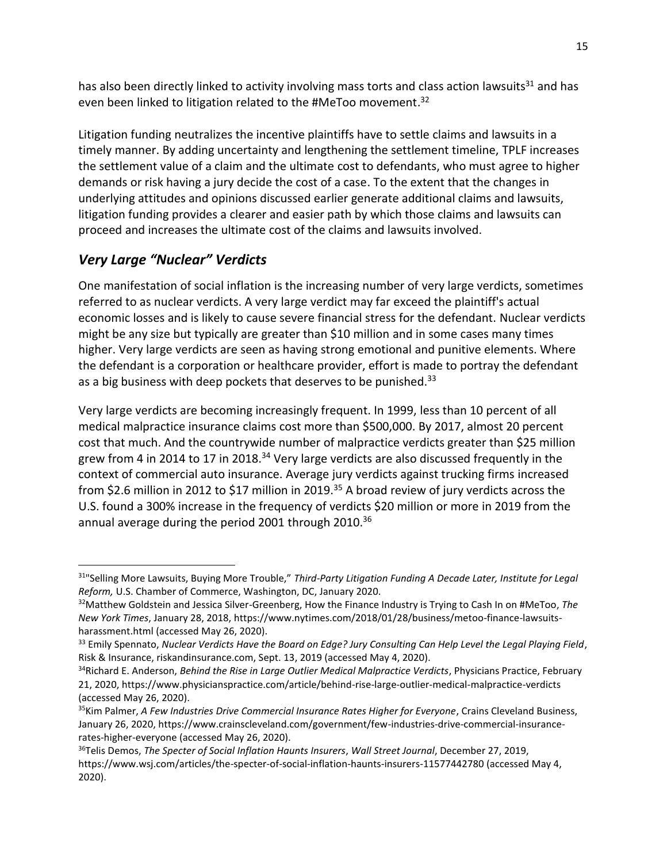has also been directly linked to activity involving mass torts and class action lawsuits<sup>31</sup> and has even been linked to litigation related to the #MeToo movement.<sup>32</sup>

Litigation funding neutralizes the incentive plaintiffs have to settle claims and lawsuits in a timely manner. By adding uncertainty and lengthening the settlement timeline, TPLF increases the settlement value of a claim and the ultimate cost to defendants, who must agree to higher demands or risk having a jury decide the cost of a case. To the extent that the changes in underlying attitudes and opinions discussed earlier generate additional claims and lawsuits, litigation funding provides a clearer and easier path by which those claims and lawsuits can proceed and increases the ultimate cost of the claims and lawsuits involved.

## *Very Large "Nuclear" Verdicts*

 $\overline{\phantom{a}}$ 

One manifestation of social inflation is the increasing number of very large verdicts, sometimes referred to as nuclear verdicts. A very large verdict may far exceed the plaintiff's actual economic losses and is likely to cause severe financial stress for the defendant. Nuclear verdicts might be any size but typically are greater than \$10 million and in some cases many times higher. Very large verdicts are seen as having strong emotional and punitive elements. Where the defendant is a corporation or healthcare provider, effort is made to portray the defendant as a big business with deep pockets that deserves to be punished.<sup>33</sup>

Very large verdicts are becoming increasingly frequent. In 1999, less than 10 percent of all medical malpractice insurance claims cost more than \$500,000. By 2017, almost 20 percent cost that much. And the countrywide number of malpractice verdicts greater than \$25 million grew from 4 in 2014 to 17 in 2018.<sup>34</sup> Very large verdicts are also discussed frequently in the context of commercial auto insurance. Average jury verdicts against trucking firms increased from \$2.6 million in 2012 to \$17 million in 2019.<sup>35</sup> A broad review of jury verdicts across the U.S. found a 300% increase in the frequency of verdicts \$20 million or more in 2019 from the annual average during the period 2001 through 2010.<sup>36</sup>

<sup>31</sup>"Selling More Lawsuits, Buying More Trouble," *Third-Party Litigation Funding A Decade Later, Institute for Legal Reform,* U.S. Chamber of Commerce, Washington, DC, January 2020.

<sup>32</sup>Matthew Goldstein and Jessica Silver-Greenberg, How the Finance Industry is Trying to Cash In on #MeToo, *The New York Times*, January 28, 2018, https://www.nytimes.com/2018/01/28/business/metoo-finance-lawsuitsharassment.html (accessed May 26, 2020).

<sup>33</sup> Emily Spennato, *Nuclear Verdicts Have the Board on Edge? Jury Consulting Can Help Level the Legal Playing Field*, Risk & Insurance, riskandinsurance.com, Sept. 13, 2019 (accessed May 4, 2020).

<sup>34</sup>Richard E. Anderson, *Behind the Rise in Large Outlier Medical Malpractice Verdicts*, Physicians Practice, February 21, 2020, https://www.physicianspractice.com/article/behind-rise-large-outlier-medical-malpractice-verdicts (accessed May 26, 2020).

<sup>35</sup>Kim Palmer, *A Few Industries Drive Commercial Insurance Rates Higher for Everyone*, Crains Cleveland Business, January 26, 2020, https://www.crainscleveland.com/government/few-industries-drive-commercial-insurancerates-higher-everyone (accessed May 26, 2020).

<sup>36</sup>Telis Demos, *The Specter of Social Inflation Haunts Insurers*, *Wall Street Journal*, December 27, 2019, https://www.wsj.com/articles/the-specter-of-social-inflation-haunts-insurers-11577442780 (accessed May 4, 2020).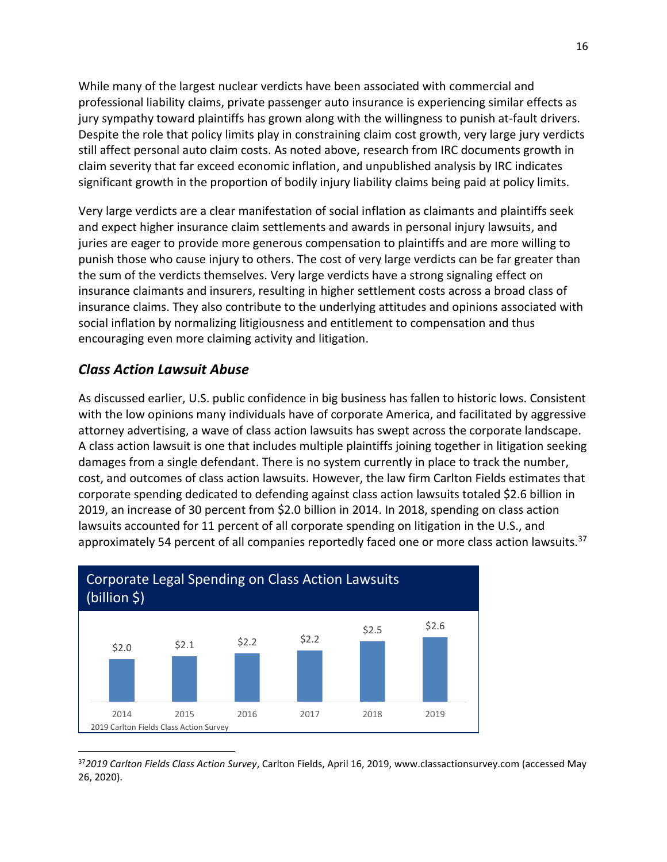While many of the largest nuclear verdicts have been associated with commercial and professional liability claims, private passenger auto insurance is experiencing similar effects as jury sympathy toward plaintiffs has grown along with the willingness to punish at-fault drivers. Despite the role that policy limits play in constraining claim cost growth, very large jury verdicts still affect personal auto claim costs. As noted above, research from IRC documents growth in claim severity that far exceed economic inflation, and unpublished analysis by IRC indicates significant growth in the proportion of bodily injury liability claims being paid at policy limits.

Very large verdicts are a clear manifestation of social inflation as claimants and plaintiffs seek and expect higher insurance claim settlements and awards in personal injury lawsuits, and juries are eager to provide more generous compensation to plaintiffs and are more willing to punish those who cause injury to others. The cost of very large verdicts can be far greater than the sum of the verdicts themselves. Very large verdicts have a strong signaling effect on insurance claimants and insurers, resulting in higher settlement costs across a broad class of insurance claims. They also contribute to the underlying attitudes and opinions associated with social inflation by normalizing litigiousness and entitlement to compensation and thus encouraging even more claiming activity and litigation.

### *Class Action Lawsuit Abuse*

 $\overline{\phantom{a}}$ 

As discussed earlier, U.S. public confidence in big business has fallen to historic lows. Consistent with the low opinions many individuals have of corporate America, and facilitated by aggressive attorney advertising, a wave of class action lawsuits has swept across the corporate landscape. A class action lawsuit is one that includes multiple plaintiffs joining together in litigation seeking damages from a single defendant. There is no system currently in place to track the number, cost, and outcomes of class action lawsuits. However, the law firm Carlton Fields estimates that corporate spending dedicated to defending against class action lawsuits totaled \$2.6 billion in 2019, an increase of 30 percent from \$2.0 billion in 2014. In 2018, spending on class action lawsuits accounted for 11 percent of all corporate spending on litigation in the U.S., and approximately 54 percent of all companies reportedly faced one or more class action lawsuits.<sup>37</sup>



<sup>37</sup>*2019 Carlton Fields Class Action Survey*, Carlton Fields, April 16, 2019, www.classactionsurvey.com (accessed May 26, 2020).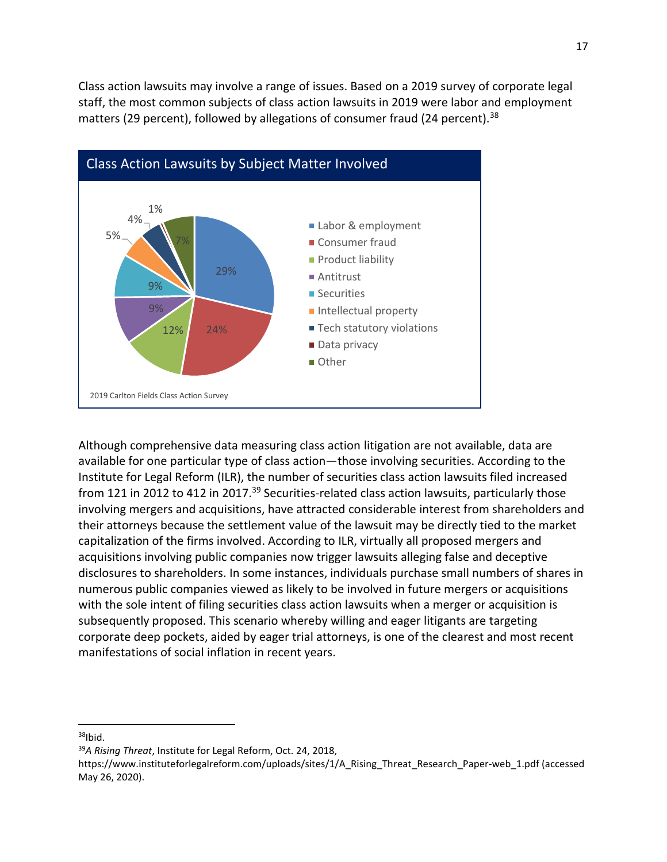Class action lawsuits may involve a range of issues. Based on a 2019 survey of corporate legal staff, the most common subjects of class action lawsuits in 2019 were labor and employment matters (29 percent), followed by allegations of consumer fraud (24 percent).<sup>38</sup>



Although comprehensive data measuring class action litigation are not available, data are available for one particular type of class action—those involving securities. According to the Institute for Legal Reform (ILR), the number of securities class action lawsuits filed increased from 121 in 2012 to 412 in 2017.<sup>39</sup> Securities-related class action lawsuits, particularly those involving mergers and acquisitions, have attracted considerable interest from shareholders and their attorneys because the settlement value of the lawsuit may be directly tied to the market capitalization of the firms involved. According to ILR, virtually all proposed mergers and acquisitions involving public companies now trigger lawsuits alleging false and deceptive disclosures to shareholders. In some instances, individuals purchase small numbers of shares in numerous public companies viewed as likely to be involved in future mergers or acquisitions with the sole intent of filing securities class action lawsuits when a merger or acquisition is subsequently proposed. This scenario whereby willing and eager litigants are targeting corporate deep pockets, aided by eager trial attorneys, is one of the clearest and most recent manifestations of social inflation in recent years.

 $\overline{\phantom{a}}$  $38$ Ibid.

<sup>39</sup>*A Rising Threat*, Institute for Legal Reform, Oct. 24, 2018,

https://www.instituteforlegalreform.com/uploads/sites/1/A\_Rising\_Threat\_Research\_Paper-web\_1.pdf (accessed May 26, 2020).